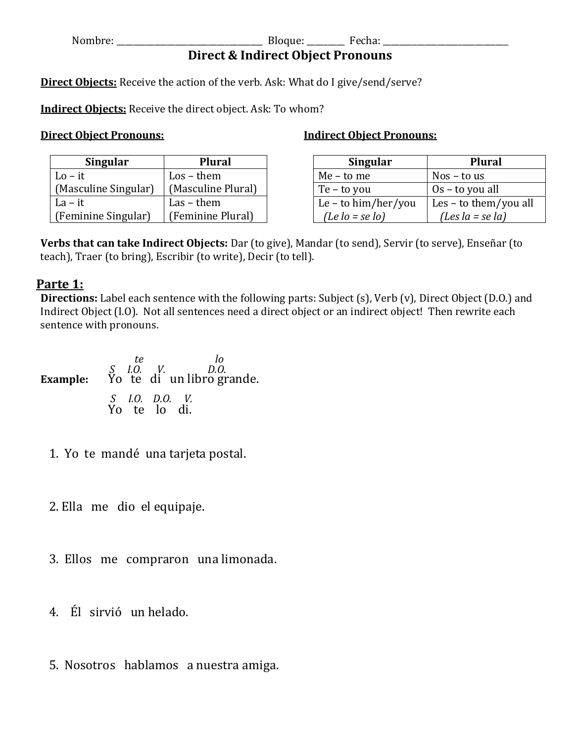Nombre: \_\_\_\_\_\_\_\_\_\_\_\_\_\_\_\_\_\_\_\_\_\_\_\_\_\_\_\_\_\_\_\_\_\_\_ Bloque: \_\_\_\_\_\_\_\_\_ Fecha: \_\_\_\_\_\_\_\_\_\_\_\_\_\_\_\_\_\_\_\_\_\_\_\_\_\_\_\_\_\_

**Indirect Object Pronouns:**

# **Direct & Indirect Object Pronouns**

**Direct Objects:** Receive the action of the verb. Ask: What do I give/send/serve?

**Indirect Objects:** Receive the direct object. Ask: To whom?

## **Direct Object Pronouns:**

| <b>Singular</b>      | <b>Plural</b>       | Singular                      | <b>Plural</b>                 |
|----------------------|---------------------|-------------------------------|-------------------------------|
| $Lo - it$            | $\text{Los}$ – them | Me - to me                    | Nos – to us                   |
| (Masculine Singular) | (Masculine Plural)  | Te – to you                   | $0s$ – to you all             |
| $La - it$            | $Las - them$        | Le – to $\lim/\text{her/you}$ | $\vert$ Les – to them/you all |
| (Feminine Singular)  | (Feminine Plural)   | $(Le$ $lo$ = se $lo$ )        | (Les $la = se$ $la$ )         |

**Verbs that can take Indirect Objects:** Dar (to give), Mandar (to send), Servir (to serve), Enseñar (to teach), Traer (to bring), Escribir (to write), Decir (to tell).

## **Parte 1:**

**Directions:** Label each sentence with the following parts: Subject (s), Verb (v), Direct Object (D.O.) and Indirect Object (I.O). Not all sentences need a direct object or an indirect object! Then rewrite each sentence with pronouns.

| te                             | ΙO<br><i>S I.O. V. D.O.</i><br><b>Example:</b> Yo te di un libro grande. |
|--------------------------------|--------------------------------------------------------------------------|
| S I.O. D.O. V.<br>Yo te lo di. |                                                                          |

1. Yo te mandé una tarjeta postal.

2. Ella me dio el equipaje.

3. Ellos me compraron una limonada.

4. Él sirvió un helado.

5. Nosotros hablamos a nuestra amiga.